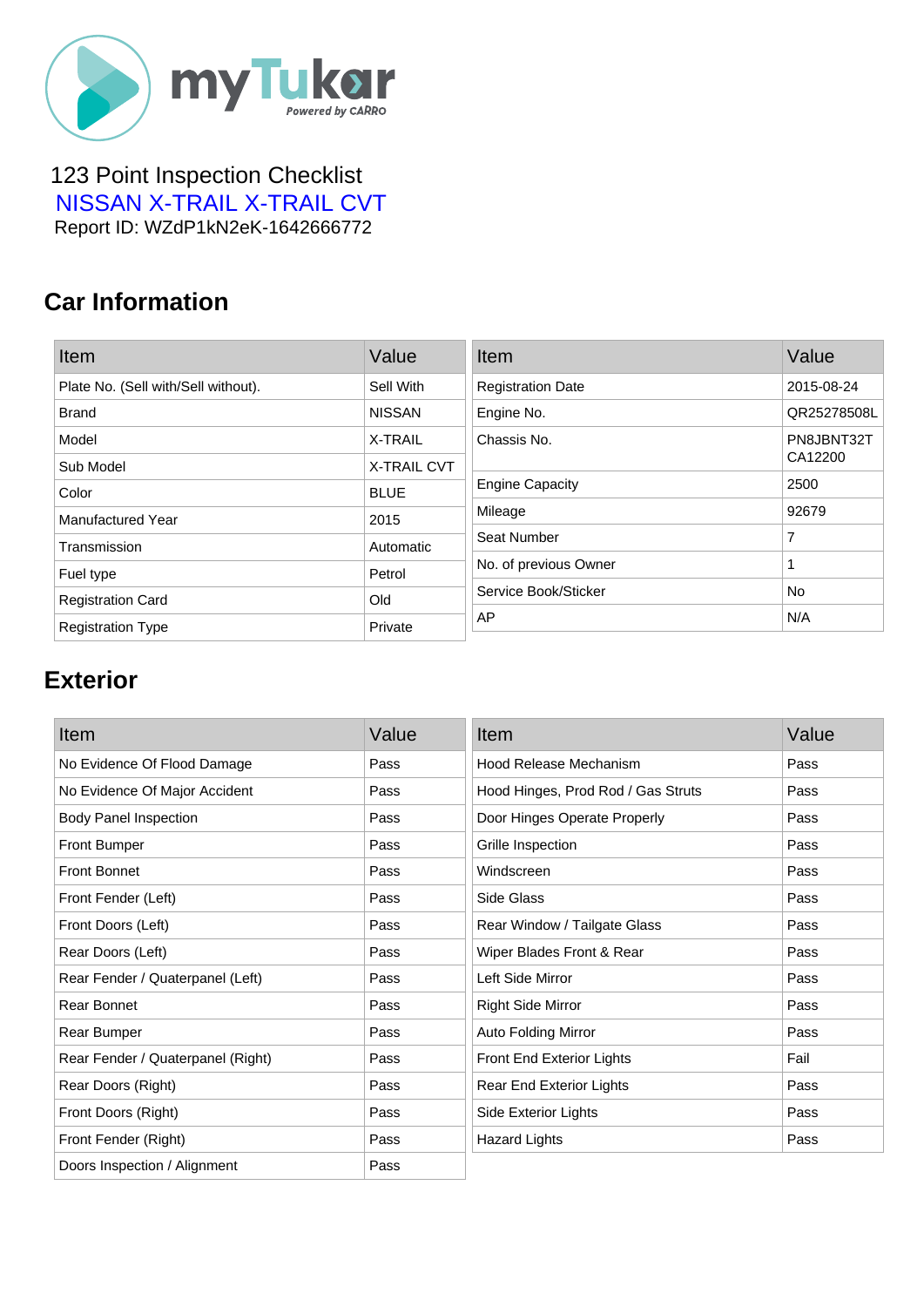

#### 123 Point Inspection Checklist  [NISSAN X-TRAIL X-TRAIL CVT](https://mytukar.com/q/G6L0M0) Report ID: WZdP1kN2eK-1642666772

### **Car Information**

| Item                                | Value         | Item                     | Value       |
|-------------------------------------|---------------|--------------------------|-------------|
| Plate No. (Sell with/Sell without). | Sell With     | <b>Registration Date</b> | 2015-08-24  |
| <b>Brand</b>                        | <b>NISSAN</b> | Engine No.               | QR25278508L |
| Model                               | X-TRAIL       | Chassis No.              | PN8JBNT32T  |
| Sub Model                           | X-TRAIL CVT   |                          | CA12200     |
| Color                               | <b>BLUE</b>   | <b>Engine Capacity</b>   | 2500        |
| <b>Manufactured Year</b>            | 2015          | Mileage                  | 92679       |
| Transmission                        | Automatic     | Seat Number              | 7           |
| Fuel type                           | Petrol        | No. of previous Owner    | 1           |
| <b>Registration Card</b>            | Old           | Service Book/Sticker     | No          |
| <b>Registration Type</b>            | Private       | AP                       | N/A         |

# **Exterior**

| Item                              | Value | Item                               | Value |
|-----------------------------------|-------|------------------------------------|-------|
| No Evidence Of Flood Damage       | Pass  | <b>Hood Release Mechanism</b>      | Pass  |
| No Evidence Of Major Accident     | Pass  | Hood Hinges, Prod Rod / Gas Struts | Pass  |
| <b>Body Panel Inspection</b>      | Pass  | Door Hinges Operate Properly       | Pass  |
| <b>Front Bumper</b>               | Pass  | Grille Inspection                  | Pass  |
| <b>Front Bonnet</b>               | Pass  | Windscreen                         | Pass  |
| Front Fender (Left)               | Pass  | Side Glass                         | Pass  |
| Front Doors (Left)                | Pass  | Rear Window / Tailgate Glass       | Pass  |
| Rear Doors (Left)                 | Pass  | Wiper Blades Front & Rear          | Pass  |
| Rear Fender / Quaterpanel (Left)  | Pass  | Left Side Mirror                   | Pass  |
| Rear Bonnet                       | Pass  | <b>Right Side Mirror</b>           | Pass  |
| Rear Bumper                       | Pass  | Auto Folding Mirror                | Pass  |
| Rear Fender / Quaterpanel (Right) | Pass  | Front End Exterior Lights          | Fail  |
| Rear Doors (Right)                | Pass  | Rear End Exterior Lights           | Pass  |
| Front Doors (Right)               | Pass  | Side Exterior Lights               | Pass  |
| Front Fender (Right)              | Pass  | <b>Hazard Lights</b>               | Pass  |
| Doors Inspection / Alignment      | Pass  |                                    |       |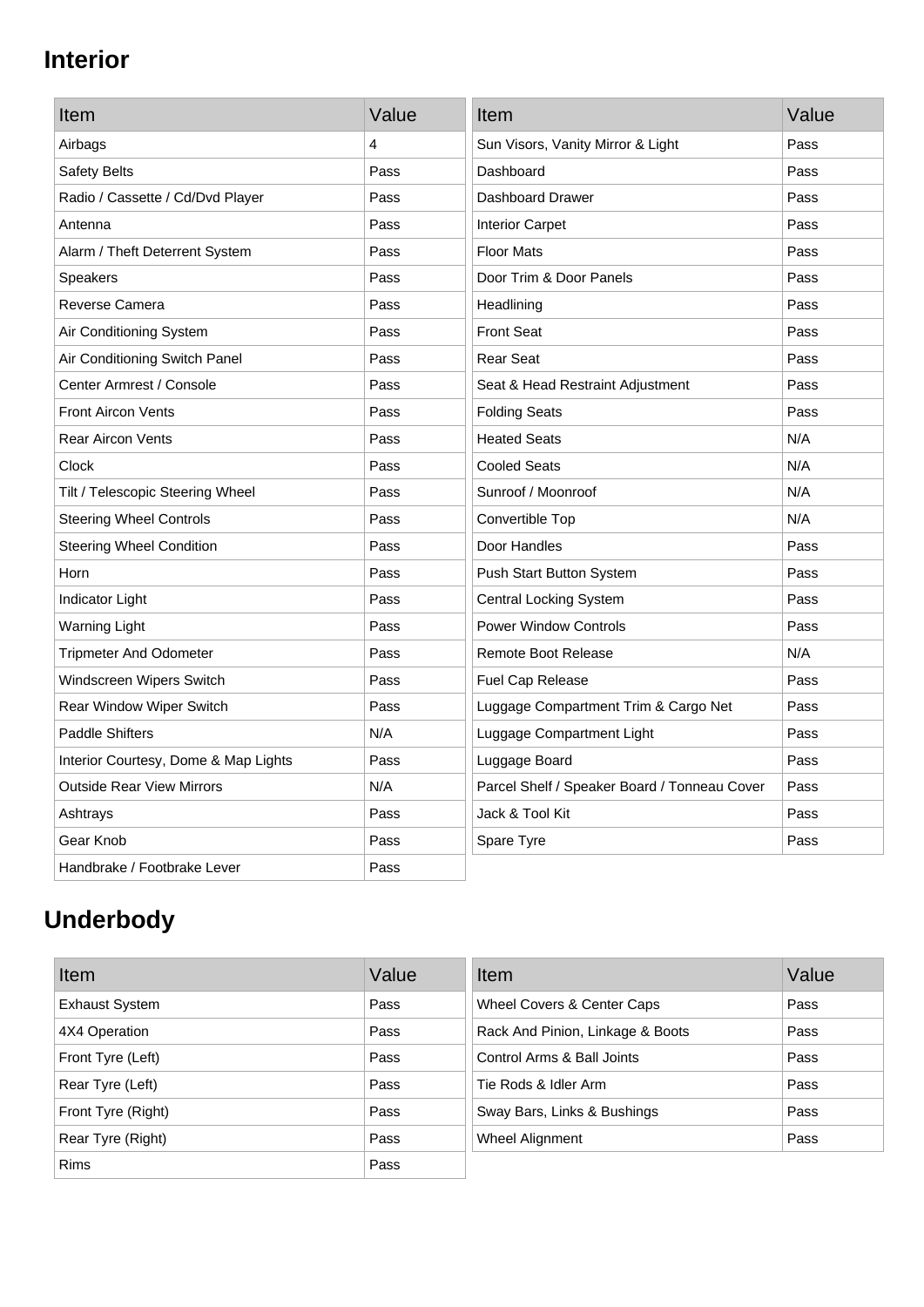# **Interior**

| Item                                 | Value | Item                                         | Value |
|--------------------------------------|-------|----------------------------------------------|-------|
| Airbags                              | 4     | Sun Visors, Vanity Mirror & Light            | Pass  |
| Safety Belts                         | Pass  | Dashboard                                    | Pass  |
| Radio / Cassette / Cd/Dvd Player     | Pass  | Dashboard Drawer                             | Pass  |
| Antenna                              | Pass  | <b>Interior Carpet</b>                       | Pass  |
| Alarm / Theft Deterrent System       | Pass  | <b>Floor Mats</b>                            | Pass  |
| <b>Speakers</b>                      | Pass  | Door Trim & Door Panels                      | Pass  |
| Reverse Camera                       | Pass  | Headlining                                   | Pass  |
| Air Conditioning System              | Pass  | <b>Front Seat</b>                            | Pass  |
| Air Conditioning Switch Panel        | Pass  | <b>Rear Seat</b>                             | Pass  |
| Center Armrest / Console             | Pass  | Seat & Head Restraint Adjustment             | Pass  |
| <b>Front Aircon Vents</b>            | Pass  | <b>Folding Seats</b>                         | Pass  |
| <b>Rear Aircon Vents</b>             | Pass  | <b>Heated Seats</b>                          | N/A   |
| Clock                                | Pass  | <b>Cooled Seats</b>                          | N/A   |
| Tilt / Telescopic Steering Wheel     | Pass  | Sunroof / Moonroof                           | N/A   |
| <b>Steering Wheel Controls</b>       | Pass  | Convertible Top                              | N/A   |
| <b>Steering Wheel Condition</b>      | Pass  | Door Handles                                 | Pass  |
| Horn                                 | Pass  | Push Start Button System                     | Pass  |
| Indicator Light                      | Pass  | <b>Central Locking System</b>                | Pass  |
| <b>Warning Light</b>                 | Pass  | <b>Power Window Controls</b>                 | Pass  |
| <b>Tripmeter And Odometer</b>        | Pass  | <b>Remote Boot Release</b>                   | N/A   |
| Windscreen Wipers Switch             | Pass  | Fuel Cap Release                             | Pass  |
| Rear Window Wiper Switch             | Pass  | Luggage Compartment Trim & Cargo Net         | Pass  |
| <b>Paddle Shifters</b>               | N/A   | Luggage Compartment Light                    | Pass  |
| Interior Courtesy, Dome & Map Lights | Pass  | Luggage Board                                | Pass  |
| <b>Outside Rear View Mirrors</b>     | N/A   | Parcel Shelf / Speaker Board / Tonneau Cover | Pass  |
| Ashtrays                             | Pass  | Jack & Tool Kit                              | Pass  |
| Gear Knob                            | Pass  | Spare Tyre                                   | Pass  |
| Handbrake / Footbrake Lever          | Pass  |                                              |       |

# **Underbody**

| Item                  | Value | Item                             | Value |
|-----------------------|-------|----------------------------------|-------|
| <b>Exhaust System</b> | Pass  | Wheel Covers & Center Caps       | Pass  |
| 4X4 Operation         | Pass  | Rack And Pinion, Linkage & Boots | Pass  |
| Front Tyre (Left)     | Pass  | Control Arms & Ball Joints       | Pass  |
| Rear Tyre (Left)      | Pass  | Tie Rods & Idler Arm             | Pass  |
| Front Tyre (Right)    | Pass  | Sway Bars, Links & Bushings      | Pass  |
| Rear Tyre (Right)     | Pass  | Wheel Alignment                  | Pass  |
| <b>Rims</b>           | Pass  |                                  |       |